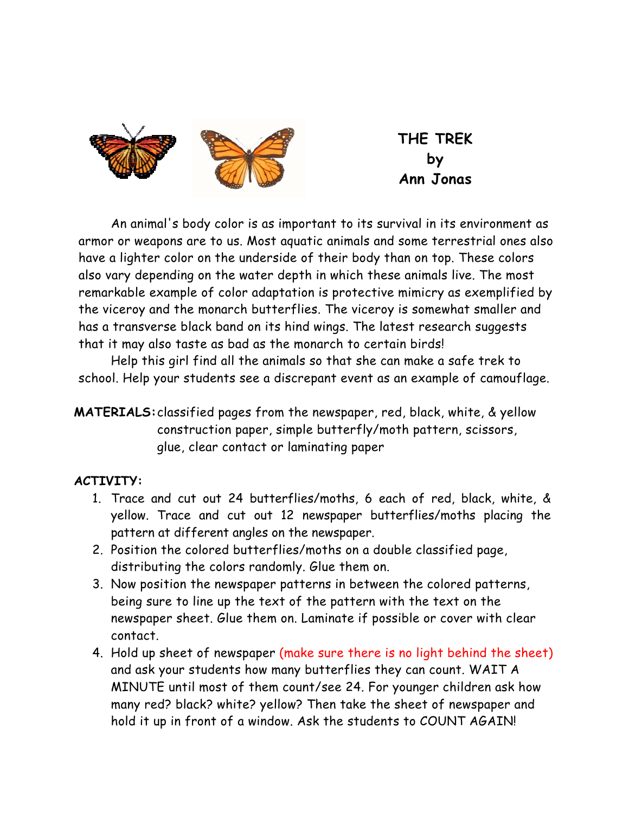



 An animal's body color is as important to its survival in its environment as armor or weapons are to us. Most aquatic animals and some terrestrial ones also have a lighter color on the underside of their body than on top. These colors also vary depending on the water depth in which these animals live. The most remarkable example of color adaptation is protective mimicry as exemplified by the viceroy and the monarch butterflies. The viceroy is somewhat smaller and has a transverse black band on its hind wings. The latest research suggests that it may also taste as bad as the monarch to certain birds!

 Help this girl find all the animals so that she can make a safe trek to school. Help your students see a discrepant event as an example of camouflage.

## **MATERIALS:** classified pages from the newspaper, red, black, white, & yellow construction paper, simple butterfly/moth pattern, scissors, glue, clear contact or laminating paper

## **ACTIVITY:**

- 1. Trace and cut out 24 butterflies/moths, 6 each of red, black, white, & yellow. Trace and cut out 12 newspaper butterflies/moths placing the pattern at different angles on the newspaper.
- 2. Position the colored butterflies/moths on a double classified page, distributing the colors randomly. Glue them on.
- 3. Now position the newspaper patterns in between the colored patterns, being sure to line up the text of the pattern with the text on the newspaper sheet. Glue them on. Laminate if possible or cover with clear contact.
- 4. Hold up sheet of newspaper (make sure there is no light behind the sheet) and ask your students how many butterflies they can count. WAIT A MINUTE until most of them count/see 24. For younger children ask how many red? black? white? yellow? Then take the sheet of newspaper and hold it up in front of a window. Ask the students to COUNT AGAIN!